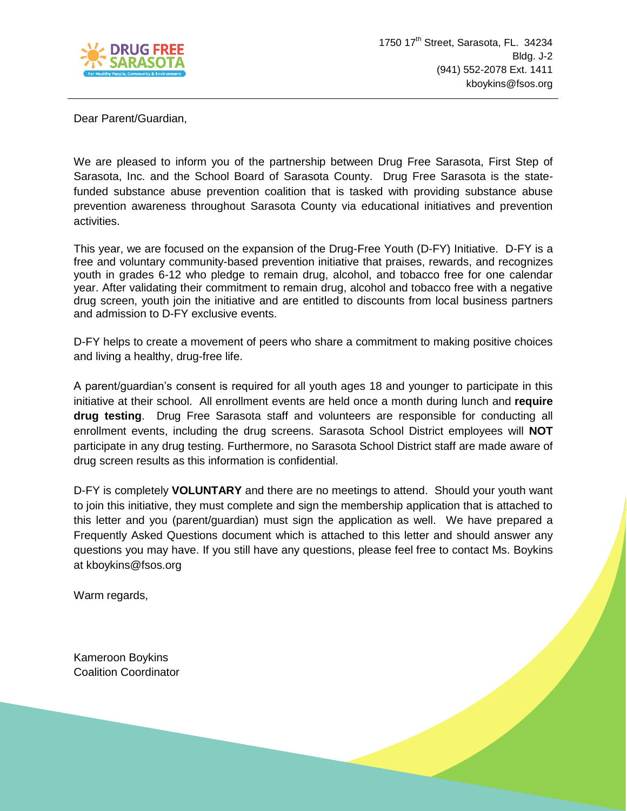

Dear Parent/Guardian,

We are pleased to inform you of the partnership between Drug Free Sarasota, First Step of Sarasota, Inc. and the School Board of Sarasota County. Drug Free Sarasota is the statefunded substance abuse prevention coalition that is tasked with providing substance abuse prevention awareness throughout Sarasota County via educational initiatives and prevention activities.

This year, we are focused on the expansion of the Drug-Free Youth (D-FY) Initiative. D-FY is a free and voluntary community-based prevention initiative that praises, rewards, and recognizes youth in grades 6-12 who pledge to remain drug, alcohol, and tobacco free for one calendar year. After validating their commitment to remain drug, alcohol and tobacco free with a negative drug screen, youth join the initiative and are entitled to discounts from local business partners and admission to D-FY exclusive events.

D-FY helps to create a movement of peers who share a commitment to making positive choices and living a healthy, drug-free life.

A parent/guardian's consent is required for all youth ages 18 and younger to participate in this initiative at their school. All enrollment events are held once a month during lunch and **require drug testing**. Drug Free Sarasota staff and volunteers are responsible for conducting all enrollment events, including the drug screens. Sarasota School District employees will **NOT**  participate in any drug testing. Furthermore, no Sarasota School District staff are made aware of drug screen results as this information is confidential.

D-FY is completely **VOLUNTARY** and there are no meetings to attend. Should your youth want to join this initiative, they must complete and sign the membership application that is attached to this letter and you (parent/guardian) must sign the application as well. We have prepared a Frequently Asked Questions document which is attached to this letter and should answer any questions you may have. If you still have any questions, please feel free to contact Ms. Boykins at kboykins@fsos.org

Warm regards,

Kameroon Boykins Coalition Coordinator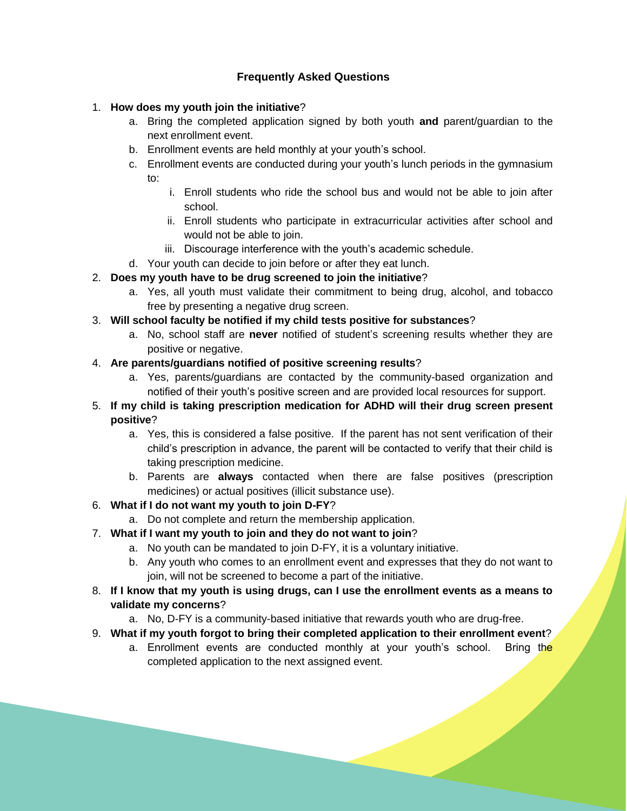# **Frequently Asked Questions**

## 1. **How does my youth join the initiative**?

- a. Bring the completed application signed by both youth **and** parent/guardian to the next enrollment event.
- b. Enrollment events are held monthly at your youth's school.
- c. Enrollment events are conducted during your youth's lunch periods in the gymnasium to:
	- i. Enroll students who ride the school bus and would not be able to join after school.
	- ii. Enroll students who participate in extracurricular activities after school and would not be able to join.
	- iii. Discourage interference with the youth's academic schedule.
- d. Your youth can decide to join before or after they eat lunch.

# 2. **Does my youth have to be drug screened to join the initiative**?

- a. Yes, all youth must validate their commitment to being drug, alcohol, and tobacco free by presenting a negative drug screen.
- 3. **Will school faculty be notified if my child tests positive for substances**?
	- a. No, school staff are **never** notified of student's screening results whether they are positive or negative.

### 4. **Are parents/guardians notified of positive screening results**?

- a. Yes, parents/guardians are contacted by the community-based organization and notified of their youth's positive screen and are provided local resources for support.
- 5. **If my child is taking prescription medication for ADHD will their drug screen present positive**?
	- a. Yes, this is considered a false positive. If the parent has not sent verification of their child's prescription in advance, the parent will be contacted to verify that their child is taking prescription medicine.
	- b. Parents are **always** contacted when there are false positives (prescription medicines) or actual positives (illicit substance use).

### 6. **What if I do not want my youth to join D-FY**?

- a. Do not complete and return the membership application.
- 7. **What if I want my youth to join and they do not want to join**?
	- a. No youth can be mandated to join D-FY, it is a voluntary initiative.
	- b. Any youth who comes to an enrollment event and expresses that they do not want to join, will not be screened to become a part of the initiative.
- 8. **If I know that my youth is using drugs, can I use the enrollment events as a means to validate my concerns**?
	- a. No, D-FY is a community-based initiative that rewards youth who are drug-free.
- 9. **What if my youth forgot to bring their completed application to their enrollment event**?
	- a. Enrollment events are conducted monthly at your youth's school. Bring the completed application to the next assigned event.